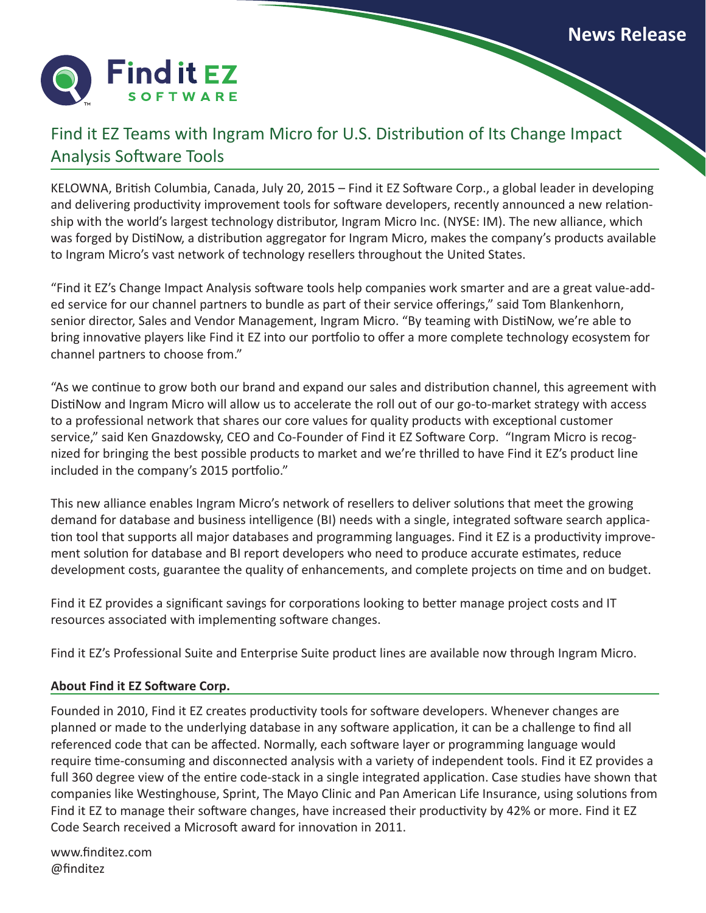

## Find it EZ Teams with Ingram Micro for U.S. Distribution of Its Change Impact Analysis Software Tools

KELOWNA, British Columbia, Canada, July 20, 2015 – Find it EZ Software Corp., a global leader in developing and delivering productivity improvement tools for software developers, recently announced a new relationship with the world's largest technology distributor, Ingram Micro Inc. (NYSE: IM). The new alliance, which was forged by DistiNow, a distribution aggregator for Ingram Micro, makes the company's products available to Ingram Micro's vast network of technology resellers throughout the United States.

"Find it EZ's Change Impact Analysis software tools help companies work smarter and are a great value-added service for our channel partners to bundle as part of their service offerings," said Tom Blankenhorn, senior director, Sales and Vendor Management, Ingram Micro. "By teaming with DistiNow, we're able to bring innovative players like Find it EZ into our portfolio to offer a more complete technology ecosystem for channel partners to choose from."

"As we continue to grow both our brand and expand our sales and distribution channel, this agreement with DistiNow and Ingram Micro will allow us to accelerate the roll out of our go-to-market strategy with access to a professional network that shares our core values for quality products with exceptional customer service," said Ken Gnazdowsky, CEO and Co-Founder of Find it EZ Software Corp. "Ingram Micro is recognized for bringing the best possible products to market and we're thrilled to have Find it EZ's product line included in the company's 2015 portfolio."

This new alliance enables Ingram Micro's network of resellers to deliver solutions that meet the growing demand for database and business intelligence (BI) needs with a single, integrated software search application tool that supports all major databases and programming languages. Find it EZ is a productivity improvement solution for database and BI report developers who need to produce accurate estimates, reduce development costs, guarantee the quality of enhancements, and complete projects on time and on budget.

Find it EZ provides a significant savings for corporations looking to better manage project costs and IT resources associated with implementing software changes.

Find it EZ's Professional Suite and Enterprise Suite product lines are available now through Ingram Micro.

## **About Find it EZ Software Corp.**

Founded in 2010, Find it EZ creates productivity tools for software developers. Whenever changes are planned or made to the underlying database in any software application, it can be a challenge to find all referenced code that can be affected. Normally, each software layer or programming language would require time-consuming and disconnected analysis with a variety of independent tools. Find it EZ provides a full 360 degree view of the entire code-stack in a single integrated application. Case studies have shown that companies like Westinghouse, Sprint, The Mayo Clinic and Pan American Life Insurance, using solutions from Find it EZ to manage their software changes, have increased their productivity by 42% or more. Find it EZ Code Search received a Microsoft award for innovation in 2011.

www.finditez.com [@finditez](https://twitter.com/FinditEZ)